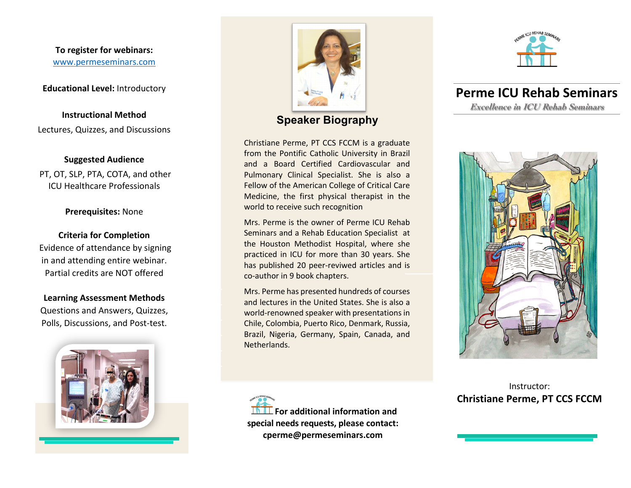**To register for webinars:** www.permeseminars.com

**Educational Level:** Introductory

**Instructional Method** Lectures, Quizzes, and Discussions

#### **Suggested Audience**

PT, OT, SLP, PTA, COTA, and other ICU Healthcare Professionals

**Prerequisites:** None

**Criteria for Completion** Evidence of attendance by signing in and attending entire webinar. Partial credits are NOT offered

**Learning Assessment Methods** Questions and Answers, Quizzes, Polls, Discussions, and Post-test.





**Speaker Biography**

Christiane Perme, PT CCS FCCM is a graduate from the Pontific Catholic University in Brazil and a Board Certified Cardiovascular and Pulmonary Clinical Specialist. She is also a Fellow of the American College of Critical Care Medicine, the first physical therapist in the world to receive such recognition

Mrs. Perme is the owner of Perme ICU Rehab Seminars and a Rehab Education Specialist at the Houston Methodist Hospital, where she practiced in ICU for more than 30 years. She has published 20 peer-reviwed articles and is co-author in 9 book chapters.

Mrs. Perme has presented hundreds of courses and lectures in the United States. She is also a world-renowned speaker with presentations in Chile, Colombia, Puerto Rico, Denmark, Russia, Brazil, Nigeria, Germany, Spain, Canada, and Netherlands.

**For additional information and special needs requests, please contact: cperme@permeseminars.com**



**Perme ICU Rehab Seminars Excellence in ICU Rehab Seminars**



Instructor: **Christiane Perme, PT CCS FCCM**